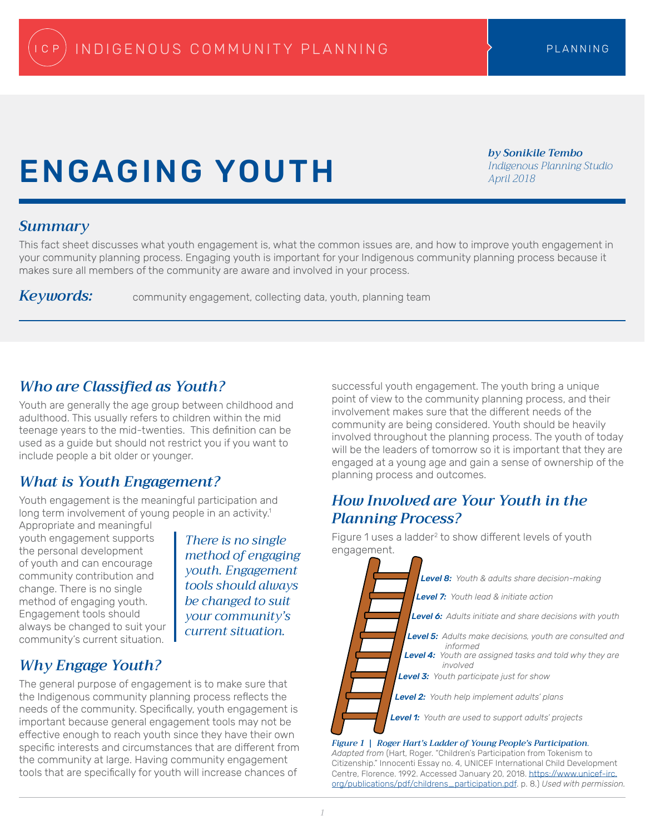# ENGAGING YOUTH

*by Sonikile Tembo Indigenous Planning Studio April 2018*

### *Summary*

This fact sheet discusses what youth engagement is, what the common issues are, and how to improve youth engagement in your community planning process. Engaging youth is important for your Indigenous community planning process because it makes sure all members of the community are aware and involved in your process.

Keywords: community engagement, collecting data, youth, planning team

# *Who are Classified as Youth?*

Youth are generally the age group between childhood and adulthood. This usually refers to children within the mid teenage years to the mid-twenties. This definition can be used as a guide but should not restrict you if you want to include people a bit older or younger.

# *What is Youth Engagement?*

Youth engagement is the meaningful participation and long term involvement of young people in an activity.<sup>1</sup>

Appropriate and meaningful youth engagement supports the personal development of youth and can encourage community contribution and change. There is no single method of engaging youth. Engagement tools should always be changed to suit your community's current situation.

There is no single **the Figure 1 uses**<br>mathod of anggaging engagement. *method of engaging youth. Engagement tools should always be changed to suit your community's current situation.* 

# *Why Engage Youth?*

The general purpose of engagement is to make sure that the Indigenous community planning process reflects the needs of the community. Specifically, youth engagement is important because general engagement tools may not be effective enough to reach youth since they have their own specific interests and circumstances that are different from the community at large. Having community engagement tools that are specifically for youth will increase chances of

successful youth engagement. The youth bring a unique point of view to the community planning process, and their involvement makes sure that the different needs of the community are being considered. Youth should be heavily involved throughout the planning process. The youth of today will be the leaders of tomorrow so it is important that they are engaged at a young age and gain a sense of ownership of the planning process and outcomes.

# *How Involved are Your Youth in the Planning Process?*



*Adapted from* (Hart, Roger. "Children's Participation from Tokenism to Citizenship." Innocenti Essay no. 4, UNICEF International Child Development Centre, Florence. 1992. Accessed January 20, 2018. [https://www.unicef-irc.](https://www.unicef-irc.org/publications/pdf/childrens_participation.pdf) [org/publications/pdf/childrens\\_participation.pdf.](https://www.unicef-irc.org/publications/pdf/childrens_participation.pdf) p. 8.) *Used with permission.*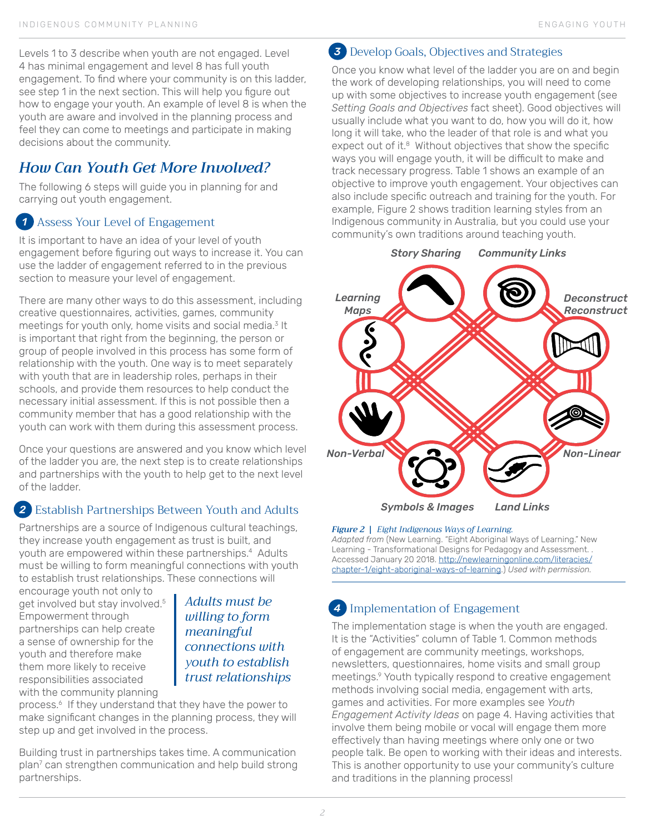Levels 1 to 3 describe when youth are not engaged. Level 4 has minimal engagement and level 8 has full youth engagement. To find where your community is on this ladder, see step 1 in the next section. This will help you figure out how to engage your youth. An example of level 8 is when the youth are aware and involved in the planning process and feel they can come to meetings and participate in making decisions about the community.

# *How Can Youth Get More Involved?*

The following 6 steps will guide you in planning for and carrying out youth engagement.

### Assess Your Level of Engagement *1*

It is important to have an idea of your level of youth engagement before figuring out ways to increase it. You can use the ladder of engagement referred to in the previous section to measure your level of engagement.

There are many other ways to do this assessment, including creative questionnaires, activities, games, community meetings for youth only, home visits and social media.<sup>3</sup> It is important that right from the beginning, the person or group of people involved in this process has some form of relationship with the youth. One way is to meet separately with youth that are in leadership roles, perhaps in their schools, and provide them resources to help conduct the necessary initial assessment. If this is not possible then a community member that has a good relationship with the youth can work with them during this assessment process.

Once your questions are answered and you know which level of the ladder you are, the next step is to create relationships and partnerships with the youth to help get to the next level of the ladder.

### Establish Partnerships Between Youth and Adults *2*

Partnerships are a source of Indigenous cultural teachings, they increase youth engagement as trust is built, and youth are empowered within these partnerships.<sup>4</sup> Adults must be willing to form meaningful connections with youth to establish trust relationships. These connections will

encourage youth not only to get involved but stay involved.<sup>5</sup> Empowerment through partnerships can help create a sense of ownership for the youth and therefore make them more likely to receive responsibilities associated with the community planning

*Adults must be willing to form meaningful connections with youth to establish trust relationships* 

process.<sup>6</sup> If they understand that they have the power to make significant changes in the planning process, they will step up and get involved in the process.

Building trust in partnerships takes time. A communication plan7 can strengthen communication and help build strong partnerships.

# Develop Goals, Objectives and Strategies *3*

Once you know what level of the ladder you are on and begin the work of developing relationships, you will need to come up with some objectives to increase youth engagement (see *Setting Goals and Objectives* fact sheet). Good objectives will usually include what you want to do, how you will do it, how long it will take, who the leader of that role is and what you expect out of it.<sup>8</sup> Without objectives that show the specific ways you will engage youth, it will be difficult to make and track necessary progress. Table 1 shows an example of an objective to improve youth engagement. Your objectives can also include specific outreach and training for the youth. For example, Figure 2 shows tradition learning styles from an Indigenous community in Australia, but you could use your community's own traditions around teaching youth.



#### *Figure 2 | Eight Indigenous Ways of Learning.*

*Adapted from* (New Learning. "Eight Aboriginal Ways of Learning." New Learning - Transformational Designs for Pedagogy and Assessment. . Accessed January 20 2018. [http://newlearningonline.com/literacies/](http://newlearningonline.com/literacies/chapter-1/eight-aboriginal-ways-of-learning) [chapter-1/eight-aboriginal-ways-of-learning.](http://newlearningonline.com/literacies/chapter-1/eight-aboriginal-ways-of-learning)) *Used with permission.*

# *4* Implementation of Engagement

The implementation stage is when the youth are engaged. It is the "Activities" column of Table 1. Common methods of engagement are community meetings, workshops, newsletters, questionnaires, home visits and small group meetings.9 Youth typically respond to creative engagement methods involving social media, engagement with arts, games and activities. For more examples see *Youth Engagement Activity Ideas* on page 4. Having activities that involve them being mobile or vocal will engage them more effectively than having meetings where only one or two people talk. Be open to working with their ideas and interests. This is another opportunity to use your community's culture and traditions in the planning process!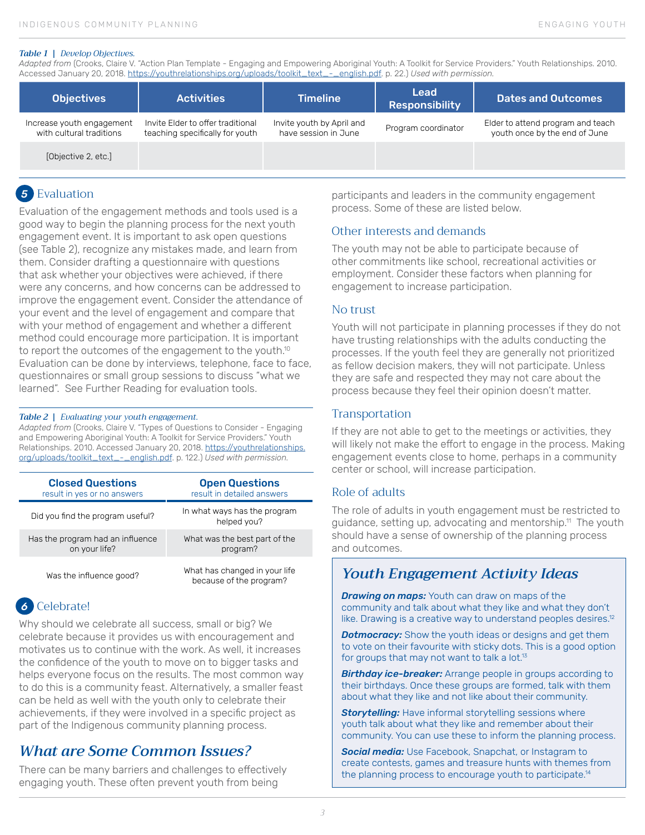#### *Table 1 | Develop Objectives.*

*Adapted from* (Crooks, Claire V. "Action Plan Template - Engaging and Empowering Aboriginal Youth: A Toolkit for Service Providers." Youth Relationships. 2010. Accessed January 20, 2018. [https://youthrelationships.org/uploads/toolkit\\_text\\_-\\_english.pdf](https://youthrelationships.org/uploads/toolkit_text_-_english.pdf). p. 22.) *Used with permission.*

| <b>Objectives</b>                                     | <b>Activities</b>                                                    | <b>Timeline</b>                                   | Lead<br><b>Responsibility</b> | <b>Dates and Outcomes</b>                                          |
|-------------------------------------------------------|----------------------------------------------------------------------|---------------------------------------------------|-------------------------------|--------------------------------------------------------------------|
| Increase youth engagement<br>with cultural traditions | Invite Elder to offer traditional<br>teaching specifically for youth | Invite youth by April and<br>have session in June | Program coordinator           | Elder to attend program and teach<br>youth once by the end of June |
| [Objective 2, etc.]                                   |                                                                      |                                                   |                               |                                                                    |

### 5 Evaluation

Evaluation of the engagement methods and tools used is a good way to begin the planning process for the next youth engagement event. It is important to ask open questions (see Table 2), recognize any mistakes made, and learn from them. Consider drafting a questionnaire with questions that ask whether your objectives were achieved, if there were any concerns, and how concerns can be addressed to improve the engagement event. Consider the attendance of your event and the level of engagement and compare that with your method of engagement and whether a different method could encourage more participation. It is important to report the outcomes of the engagement to the youth.<sup>10</sup> Evaluation can be done by interviews, telephone, face to face, questionnaires or small group sessions to discuss "what we learned". See Further Reading for evaluation tools.

#### *Table 2 | Evaluating your youth engagement.*

*Adapted from* (Crooks, Claire V. "Types of Questions to Consider - Engaging and Empowering Aboriginal Youth: A Toolkit for Service Providers." Youth Relationships. 2010. Accessed January 20, 2018. [https://youthrelationships.](https://youthrelationships.org/uploads/toolkit_text_-_english.pdf) [org/uploads/toolkit\\_text\\_-\\_english.pdf](https://youthrelationships.org/uploads/toolkit_text_-_english.pdf). p. 122.) *Used with permission.*

| <b>Closed Questions</b>          | <b>Open Questions</b>                                    |  |  |
|----------------------------------|----------------------------------------------------------|--|--|
| result in yes or no answers      | result in detailed answers                               |  |  |
| Did you find the program useful? | In what ways has the program<br>helped vou?              |  |  |
| Has the program had an influence | What was the best part of the                            |  |  |
| on your life?                    | program?                                                 |  |  |
| Was the influence good?          | What has changed in your life<br>because of the program? |  |  |

### Celebrate! *6*

Why should we celebrate all success, small or big? We celebrate because it provides us with encouragement and motivates us to continue with the work. As well, it increases the confidence of the youth to move on to bigger tasks and helps everyone focus on the results. The most common way to do this is a community feast. Alternatively, a smaller feast can be held as well with the youth only to celebrate their achievements, if they were involved in a specific project as part of the Indigenous community planning process.

# *What are Some Common Issues?*

There can be many barriers and challenges to effectively engaging youth. These often prevent youth from being

participants and leaders in the community engagement process. Some of these are listed below.

#### Other interests and demands

The youth may not be able to participate because of other commitments like school, recreational activities or employment. Consider these factors when planning for engagement to increase participation.

#### No trust

Youth will not participate in planning processes if they do not have trusting relationships with the adults conducting the processes. If the youth feel they are generally not prioritized as fellow decision makers, they will not participate. Unless they are safe and respected they may not care about the process because they feel their opinion doesn't matter.

#### **Transportation**

If they are not able to get to the meetings or activities, they will likely not make the effort to engage in the process. Making engagement events close to home, perhaps in a community center or school, will increase participation.

#### Role of adults

The role of adults in youth engagement must be restricted to guidance, setting up, advocating and mentorship.<sup>11</sup> The youth should have a sense of ownership of the planning process and outcomes.

### *Youth Engagement Activity Ideas*

**Drawing on maps:** Youth can draw on maps of the community and talk about what they like and what they don't like. Drawing is a creative way to understand peoples desires.<sup>12</sup>

**Dotmocracy:** Show the youth ideas or designs and get them to vote on their favourite with sticky dots. This is a good option for groups that may not want to talk a lot.<sup>13</sup>

**Birthday ice-breaker:** Arrange people in groups according to their birthdays. Once these groups are formed, talk with them about what they like and not like about their community.

*Storytelling:* Have informal storytelling sessions where youth talk about what they like and remember about their community. You can use these to inform the planning process.

*Social media:* Use Facebook, Snapchat, or Instagram to create contests, games and treasure hunts with themes from the planning process to encourage youth to participate.<sup>14</sup>